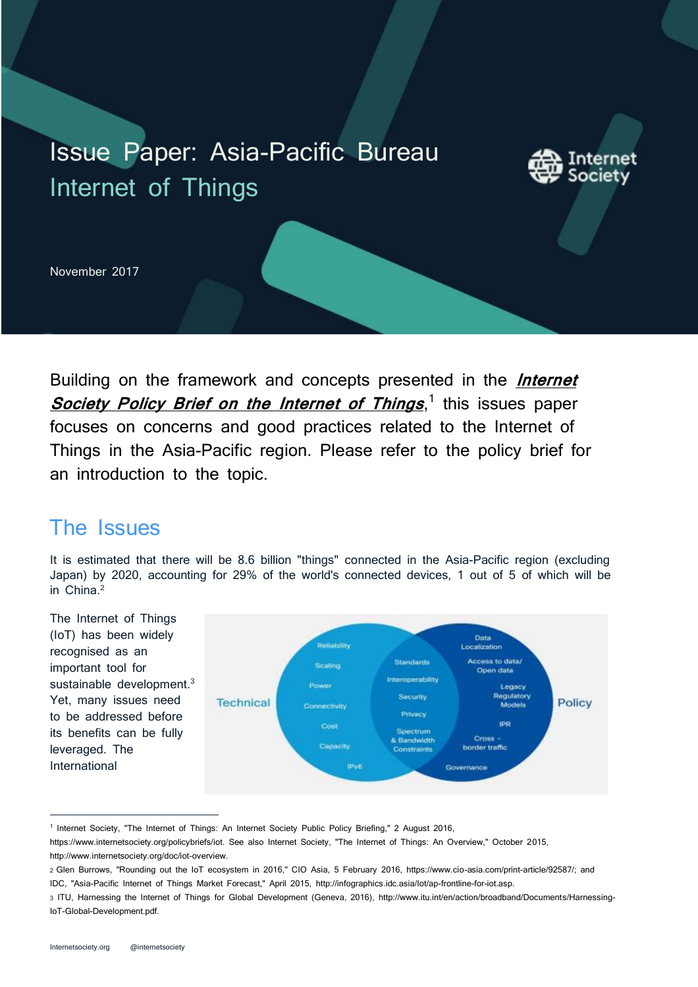# Issue Paper: Asia-Pacific Bureau Internet of Things



November 2017

Building on the framework and concepts presented in the **[Internet](https://www.internetsociety.org/policybriefs/iot)  [Society Policy Brief on the Internet of Things](https://www.internetsociety.org/policybriefs/iot)**, 1 this issues paper focuses on concerns and good practices related to the Internet of Things in the Asia-Pacific region. Please refer to the policy brief for an introduction to the topic.

### The Issues

It is estimated that there will be 8.6 billion "things" connected in the Asia-Pacific region (excluding Japan) by 2020, accounting for 29% of the world's connected devices, 1 out of 5 of which will be in China.<sup>2</sup>



<sup>&</sup>lt;sup>1</sup> Internet Society, "The Internet of Things: An Internet Society Public Policy Briefing," 2 August 2016,

https://www.internetsociety.org/policybriefs/iot. See also Internet Society, "The Internet of Things: An Overview," October 2015, http://www.internetsociety.org/doc/iot-overview.

<sup>2</sup> Glen Burrows, "Rounding out the IoT ecosystem in 2016," CIO Asia, 5 February 2016, https://www.cio-asia.com/print-article/92587/; and IDC, "Asia-Pacific Internet of Things Market Forecast," April 2015, http://infographics.idc.asia/Iot/ap-frontline-for-iot.asp.

<sup>3</sup> ITU, Harnessing the Internet of Things for Global Development (Geneva, 2016), http://www.itu.int/en/action/broadband/Documents/Harnessing-IoT-Global-Development.pdf.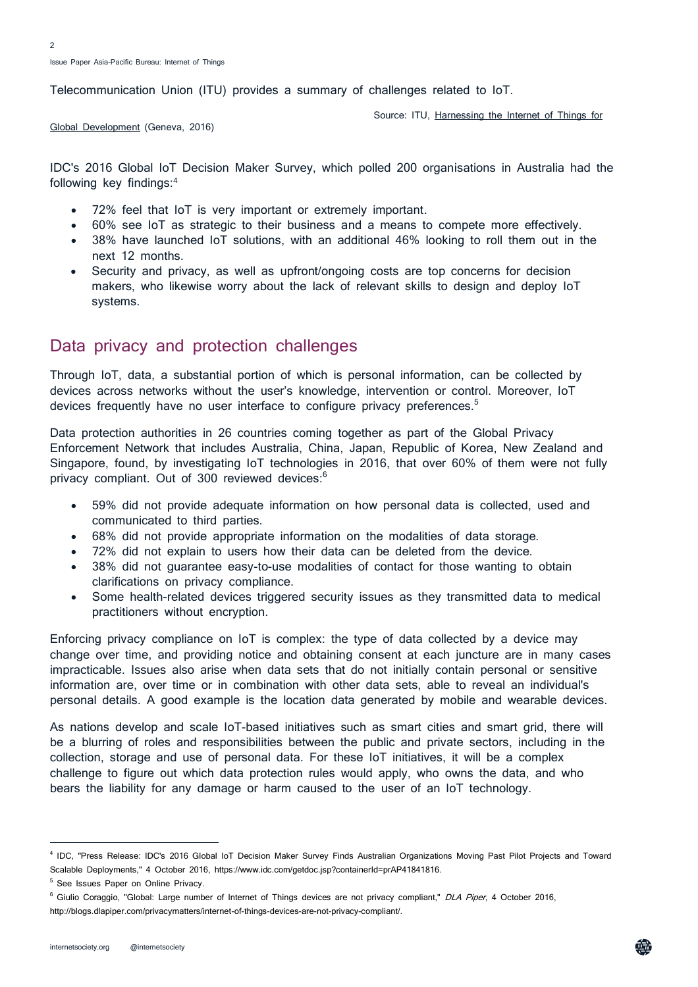Telecommunication Union (ITU) provides a summary of challenges related to IoT.

Source: ITU, [Harnessing the Internet of Things for](http://www.itu.int/en/action/broadband/Documents/Harnessing-IoT-Global-Development.pdf.) 

[Global Development](http://www.itu.int/en/action/broadband/Documents/Harnessing-IoT-Global-Development.pdf.) (Geneva, 2016)

IDC's 2016 Global IoT Decision Maker Survey, which polled 200 organisations in Australia had the following key findings:<sup>4</sup>

- 72% feel that IoT is very important or extremely important.
- 60% see IoT as strategic to their business and a means to compete more effectively.
- 38% have launched IoT solutions, with an additional 46% looking to roll them out in the next 12 months.
- Security and privacy, as well as upfront/ongoing costs are top concerns for decision makers, who likewise worry about the lack of relevant skills to design and deploy IoT systems.

#### Data privacy and protection challenges

Through IoT, data, a substantial portion of which is personal information, can be collected by devices across networks without the user's knowledge, intervention or control. Moreover, IoT devices frequently have no user interface to configure privacy preferences.<sup>5</sup>

Data protection authorities in 26 countries coming together as part of the Global Privacy Enforcement Network that includes Australia, China, Japan, Republic of Korea, New Zealand and Singapore, found, by investigating IoT technologies in 2016, that over 60% of them were not fully privacy compliant. Out of 300 reviewed devices:<sup>6</sup>

- 59% did not provide adequate information on how personal data is collected, used and communicated to third parties.
- 68% did not provide appropriate information on the modalities of data storage.
- 72% did not explain to users how their data can be deleted from the device.
- 38% did not guarantee easy-to-use modalities of contact for those wanting to obtain clarifications on privacy compliance.
- Some health-related devices triggered security issues as they transmitted data to medical practitioners without encryption.

Enforcing privacy compliance on IoT is complex: the type of data collected by a device may change over time, and providing notice and obtaining consent at each juncture are in many cases impracticable. Issues also arise when data sets that do not initially contain personal or sensitive information are, over time or in combination with other data sets, able to reveal an individual's personal details. A good example is the location data generated by mobile and wearable devices.

As nations develop and scale IoT-based initiatives such as smart cities and smart grid, there will be a blurring of roles and responsibilities between the public and private sectors, including in the collection, storage and use of personal data. For these IoT initiatives, it will be a complex challenge to figure out which data protection rules would apply, who owns the data, and who bears the liability for any damage or harm caused to the user of an IoT technology.

<sup>4</sup> IDC, "Press Release: IDC's 2016 Global IoT Decision Maker Survey Finds Australian Organizations Moving Past Pilot Projects and Toward Scalable Deployments," 4 October 2016, https://www.idc.com/getdoc.jsp?containerId=prAP41841816.

<sup>&</sup>lt;sup>5</sup> See Issues Paper on Online Privacy.

<sup>&</sup>lt;sup>6</sup> Giulio Coraggio, "Global: Large number of Internet of Things devices are not privacy compliant," DLA Piper, 4 October 2016, http://blogs.dlapiper.com/privacymatters/internet-of-things-devices-are-not-privacy-compliant/.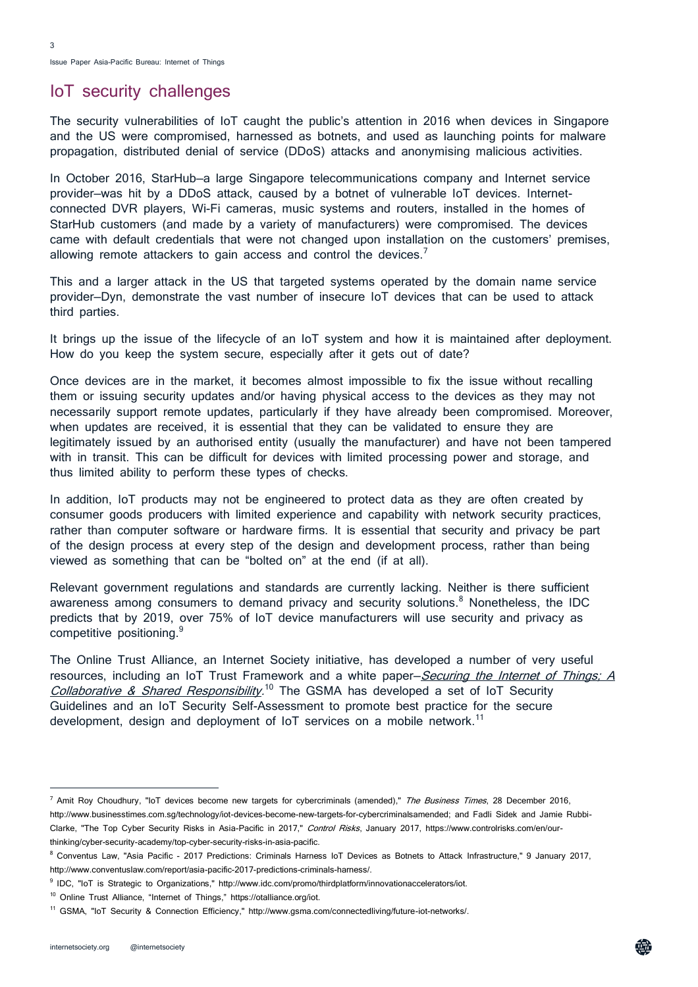Issue Paper Asia-Pacific Bureau: Internet of Things

#### IoT security challenges

The security vulnerabilities of IoT caught the public's attention in 2016 when devices in Singapore and the US were compromised, harnessed as botnets, and used as launching points for malware propagation, distributed denial of service (DDoS) attacks and anonymising malicious activities.

In October 2016, StarHub-a large Singapore telecommunications company and Internet service provider—was hit by a DDoS attack, caused by a botnet of vulnerable IoT devices. Internetconnected DVR players, Wi-Fi cameras, music systems and routers, installed in the homes of StarHub customers (and made by a variety of manufacturers) were compromised. The devices came with default credentials that were not changed upon installation on the customers' premises, allowing remote attackers to gain access and control the devices.<sup>7</sup>

This and a larger attack in the US that targeted systems operated by the domain name service provider—Dyn, demonstrate the vast number of insecure IoT devices that can be used to attack third parties.

It brings up the issue of the lifecycle of an IoT system and how it is maintained after deployment. How do you keep the system secure, especially after it gets out of date?

Once devices are in the market, it becomes almost impossible to fix the issue without recalling them or issuing security updates and/or having physical access to the devices as they may not necessarily support remote updates, particularly if they have already been compromised. Moreover, when updates are received, it is essential that they can be validated to ensure they are legitimately issued by an authorised entity (usually the manufacturer) and have not been tampered with in transit. This can be difficult for devices with limited processing power and storage, and thus limited ability to perform these types of checks.

In addition, IoT products may not be engineered to protect data as they are often created by consumer goods producers with limited experience and capability with network security practices, rather than computer software or hardware firms. It is essential that security and privacy be part of the design process at every step of the design and development process, rather than being viewed as something that can be "bolted on" at the end (if at all).

Relevant government regulations and standards are currently lacking. Neither is there sufficient awareness among consumers to demand privacy and security solutions.<sup>8</sup> Nonetheless, the IDC predicts that by 2019, over 75% of IoT device manufacturers will use security and privacy as competitive positioning.<sup>9</sup>

The Online Trust Alliance, an Internet Society initiative, has developed a number of very useful resources, including an IoT Trust Framework and a white paper–*Securing the Internet of Things: A* [Collaborative & Shared Responsibility.](https://otalliance.org/system/files/files/initiative/documents/iot_sharedrolesv1.pdf)<sup>10</sup> The GSMA has developed a set of IoT Security Guidelines and an IoT Security Self-Assessment to promote best practice for the secure development, design and deployment of IoT services on a mobile network.<sup>11</sup>

<sup>&</sup>lt;sup>7</sup> Amit Roy Choudhury, "IoT devices become new targets for cybercriminals (amended)," The Business Times, 28 December 2016, http://www.businesstimes.com.sg/technology/iot-devices-become-new-targets-for-cybercriminalsamended; and Fadli Sidek and Jamie Rubbi-Clarke, "The Top Cyber Security Risks in Asia-Pacific in 2017," Control Risks, January 2017, https://www.controlrisks.com/en/ourthinking/cyber-security-academy/top-cyber-security-risks-in-asia-pacific.

<sup>8</sup> Conventus Law, "Asia Pacific - 2017 Predictions: Criminals Harness IoT Devices as Botnets to Attack Infrastructure," 9 January 2017, http://www.conventuslaw.com/report/asia-pacific-2017-predictions-criminals-harness/.

<sup>9</sup> IDC, "IoT is Strategic to Organizations," http://www.idc.com/promo/thirdplatform/innovationaccelerators/iot.

<sup>10</sup> Online Trust Alliance, "Internet of Things," https://otalliance.org/iot.

<sup>11</sup> GSMA, "IoT Security & Connection Efficiency," http://www.gsma.com/connectedliving/future-iot-networks/.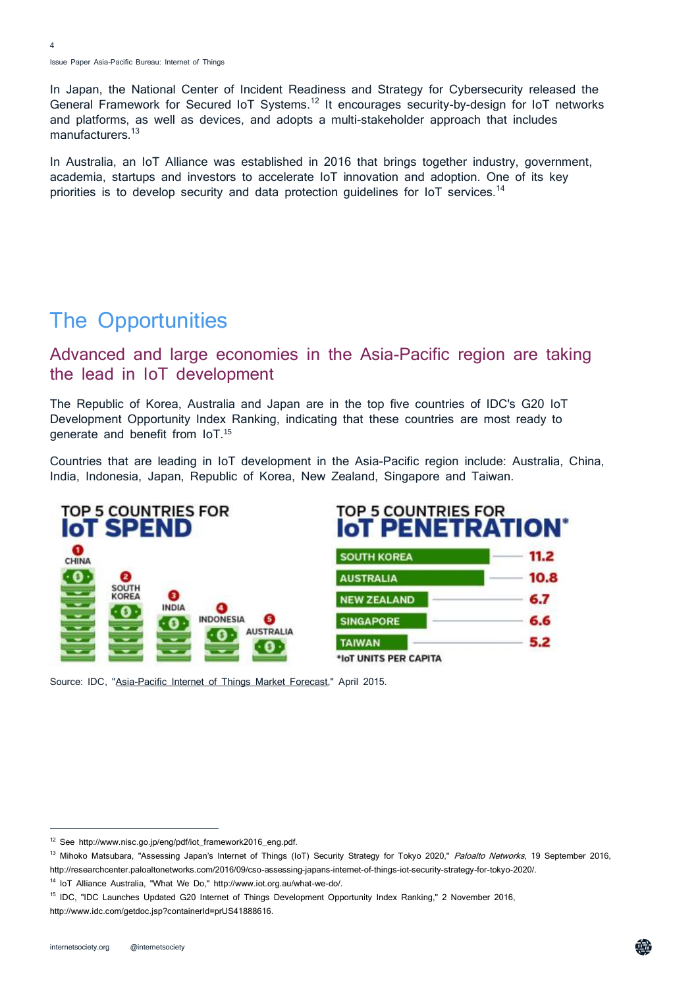In Japan, the National Center of Incident Readiness and Strategy for Cybersecurity released the General Framework for Secured IoT Systems.<sup>12</sup> It encourages security-by-design for IoT networks and platforms, as well as devices, and adopts a multi-stakeholder approach that includes manufacturers.<sup>13</sup>

In Australia, an IoT Alliance was established in 2016 that brings together industry, government, academia, startups and investors to accelerate IoT innovation and adoption. One of its key priorities is to develop security and data protection guidelines for IoT services.<sup>14</sup>

## The Opportunities

#### Advanced and large economies in the Asia-Pacific region are taking the lead in IoT development

The Republic of Korea, Australia and Japan are in the top five countries of IDC's G20 IoT Development Opportunity Index Ranking, indicating that these countries are most ready to generate and benefit from IoT.<sup>15</sup>

Countries that are leading in IoT development in the Asia-Pacific region include: Australia, China, India, Indonesia, Japan, Republic of Korea, New Zealand, Singapore and Taiwan.



Source: IDC, ["Asia-Pacific Internet of Things Market Forecast,"](http://infographics.idc.asia/Iot/ap-frontline-for-iot.asp) April 2015.

<sup>12</sup> See http://www.nisc.go.jp/eng/pdf/iot\_framework2016\_eng.pdf.

<sup>&</sup>lt;sup>13</sup> Mihoko Matsubara, "Assessing Japan's Internet of Things (IoT) Security Strategy for Tokyo 2020," Paloalto Networks, 19 September 2016, http://researchcenter.paloaltonetworks.com/2016/09/cso-assessing-japans-internet-of-things-iot-security-strategy-for-tokyo-2020/.

<sup>14</sup> IoT Alliance Australia, "What We Do," http://www.iot.org.au/what-we-do/.

<sup>15</sup> IDC, "IDC Launches Updated G20 Internet of Things Development Opportunity Index Ranking," 2 November 2016, http://www.idc.com/getdoc.jsp?containerId=prUS41888616.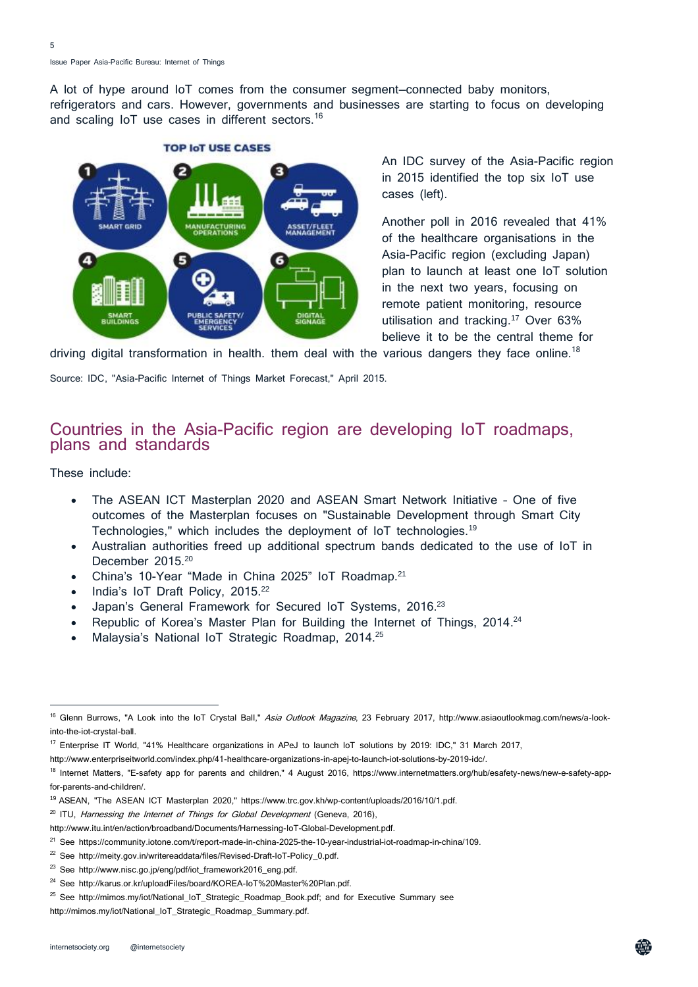Issue Paper Asia-Pacific Bureau: Internet of Things

A lot of hype around IoT comes from the consumer segment—connected baby monitors, refrigerators and cars. However, governments and businesses are starting to focus on developing and scaling IoT use cases in different sectors.<sup>16</sup>



An IDC survey of the Asia-Pacific region in 2015 identified the top six IoT use cases (left).

Another poll in 2016 revealed that 41% of the healthcare organisations in the Asia-Pacific region (excluding Japan) plan to launch at least one IoT solution in the next two years, focusing on remote patient monitoring, resource utilisation and tracking. <sup>17</sup> Over 63% believe it to be the central theme for

driving digital transformation in health. them deal with the various dangers they face online.<sup>18</sup>

Source: IDC, ["Asia-Pacific Internet of Things Market Forecast,"](http://infographics.idc.asia/Iot/ap-frontline-for-iot.asp) April 2015.

#### Countries in the Asia-Pacific region are developing IoT roadmaps, plans and standards

These include:

l,

- The ASEAN ICT Masterplan 2020 and ASEAN Smart Network Initiative One of five outcomes of the Masterplan focuses on "Sustainable Development through Smart City Technologies," which includes the deployment of IoT technologies. 19
- Australian authorities freed up additional spectrum bands dedicated to the use of IoT in December 2015.<sup>20</sup>
- China's 10-Year "Made in China 2025" IoT Roadmap.<sup>21</sup>
- India's IoT Draft Policy, 2015.<sup>22</sup>
- Japan's General Framework for Secured IoT Systems, 2016.<sup>23</sup>
- Republic of Korea's Master Plan for Building the Internet of Things, 2014.<sup>24</sup>
- Malaysia's National IoT Strategic Roadmap, 2014.<sup>25</sup>

- <sup>19</sup> ASEAN, "The ASEAN ICT Masterplan 2020," https://www.trc.gov.kh/wp-content/uploads/2016/10/1.pdf.
- $20$  ITU, Harnessing the Internet of Things for Global Development (Geneva, 2016),

<sup>&</sup>lt;sup>16</sup> Glenn Burrows, "A Look into the IoT Crystal Ball," Asia Outlook Magazine, 23 February 2017, http://www.asiaoutlookmag.com/news/a-lookinto-the-iot-crystal-ball.

<sup>17</sup> Enterprise IT World, "41% Healthcare organizations in APeJ to launch IoT solutions by 2019: IDC," 31 March 2017,

http://www.enterpriseitworld.com/index.php/41-healthcare-organizations-in-apej-to-launch-iot-solutions-by-2019-idc/.

<sup>&</sup>lt;sup>18</sup> Internet Matters, "E-safety app for parents and children," 4 August 2016, https://www.internetmatters.org/hub/esafety-news/new-e-safety-appfor-parents-and-children/.

http://www.itu.int/en/action/broadband/Documents/Harnessing-IoT-Global-Development.pdf.

<sup>21</sup> See https://community.iotone.com/t/report-made-in-china-2025-the-10-year-industrial-iot-roadmap-in-china/109.

<sup>&</sup>lt;sup>22</sup> See http://meity.gov.in/writereaddata/files/Revised-Draft-IoT-Policy 0.pdf.

<sup>&</sup>lt;sup>23</sup> See http://www.nisc.go.jp/eng/pdf/iot\_framework2016\_eng.pdf.

<sup>&</sup>lt;sup>24</sup> See http://karus.or.kr/uploadFiles/board/KOREA-IoT%20Master%20Plan.pdf.

<sup>&</sup>lt;sup>25</sup> See http://mimos.my/iot/National\_IoT\_Strategic\_Roadmap\_Book.pdf; and for Executive Summary see

http://mimos.my/iot/National\_IoT\_Strategic\_Roadmap\_Summary.pdf.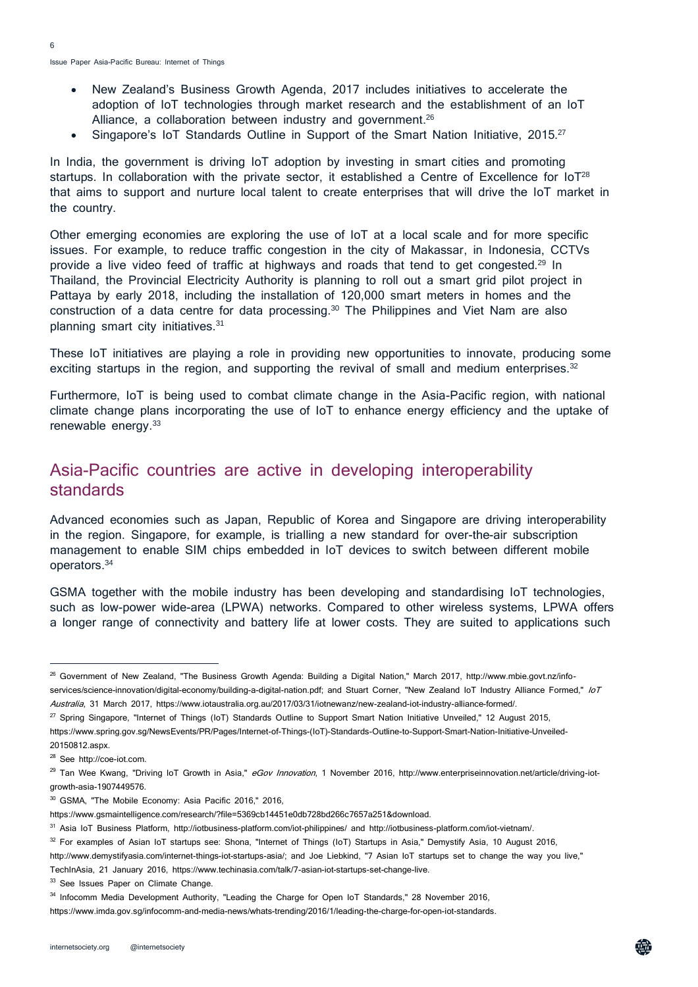- New Zealand's Business Growth Agenda, 2017 includes initiatives to accelerate the adoption of IoT technologies through market research and the establishment of an IoT Alliance, a collaboration between industry and government.<sup>26</sup>
- Singapore's IoT Standards Outline in Support of the Smart Nation Initiative, 2015.<sup>27</sup>

In India, the government is driving IoT adoption by investing in smart cities and promoting startups. In collaboration with the private sector, it established a Centre of Excellence for  $10T^{28}$ that aims to support and nurture local talent to create enterprises that will drive the IoT market in the country.

Other emerging economies are exploring the use of IoT at a local scale and for more specific issues. For example, to reduce traffic congestion in the city of Makassar, in Indonesia, CCTVs provide a live video feed of traffic at highways and roads that tend to get congested.<sup>29</sup> In Thailand, the Provincial Electricity Authority is planning to roll out a smart grid pilot project in Pattaya by early 2018, including the installation of 120,000 smart meters in homes and the construction of a data centre for data processing.<sup>30</sup> The Philippines and Viet Nam are also planning smart city initiatives.<sup>31</sup>

These IoT initiatives are playing a role in providing new opportunities to innovate, producing some exciting startups in the region, and supporting the revival of small and medium enterprises. $32$ 

Furthermore, IoT is being used to combat climate change in the Asia-Pacific region, with national climate change plans incorporating the use of IoT to enhance energy efficiency and the uptake of renewable energy. 33

#### Asia-Pacific countries are active in developing interoperability standards

Advanced economies such as Japan, Republic of Korea and Singapore are driving interoperability in the region. Singapore, for example, is trialling a new standard for over-the-air subscription management to enable SIM chips embedded in IoT devices to switch between different mobile operators.<sup>34</sup>

GSMA together with the mobile industry has been developing and standardising IoT technologies, such as low-power wide-area (LPWA) networks. Compared to other wireless systems, LPWA offers a longer range of connectivity and battery life at lower costs. They are suited to applications such

l,

<sup>&</sup>lt;sup>26</sup> Government of New Zealand, "The Business Growth Agenda: Building a Digital Nation," March 2017, http://www.mbie.govt.nz/infoservices/science-innovation/digital-economy/building-a-digital-nation.pdf; and Stuart Corner, "New Zealand IoT Industry Alliance Formed," /oT Australia, 31 March 2017, https://www.iotaustralia.org.au/2017/03/31/iotnewanz/new-zealand-iot-industry-alliance-formed/.

<sup>&</sup>lt;sup>27</sup> Spring Singapore, "Internet of Things (IoT) Standards Outline to Support Smart Nation Initiative Unveiled," 12 August 2015,

https://www.spring.gov.sg/NewsEvents/PR/Pages/Internet-of-Things-(IoT)-Standards-Outline-to-Support-Smart-Nation-Initiative-Unveiled-20150812.aspx.

<sup>28</sup> See http://coe-iot.com.

<sup>&</sup>lt;sup>29</sup> Tan Wee Kwang, "Driving IoT Growth in Asia," eGov Innovation, 1 November 2016, http://www.enterpriseinnovation.net/article/driving-iotgrowth-asia-1907449576.

<sup>30</sup> GSMA, "The Mobile Economy: Asia Pacific 2016," 2016,

https://www.gsmaintelligence.com/research/?file=5369cb14451e0db728bd266c7657a251&download.

<sup>31</sup> Asia IoT Business Platform, http://iotbusiness-platform.com/iot-philippines/ and http://iotbusiness-platform.com/iot-vietnam/.

 $32$  For examples of Asian IoT startups see: Shona, "Internet of Things (IoT) Startups in Asia," Demystify Asia, 10 August 2016,

http://www.demystifyasia.com/internet-things-iot-startups-asia/; and Joe Liebkind, "7 Asian IoT startups set to change the way you live," TechInAsia, 21 January 2016, https://www.techinasia.com/talk/7-asian-iot-startups-set-change-live.

<sup>&</sup>lt;sup>33</sup> See Issues Paper on Climate Change.

<sup>34</sup> Infocomm Media Development Authority, "Leading the Charge for Open IoT Standards," 28 November 2016,

https://www.imda.gov.sg/infocomm-and-media-news/whats-trending/2016/1/leading-the-charge-for-open-iot-standards.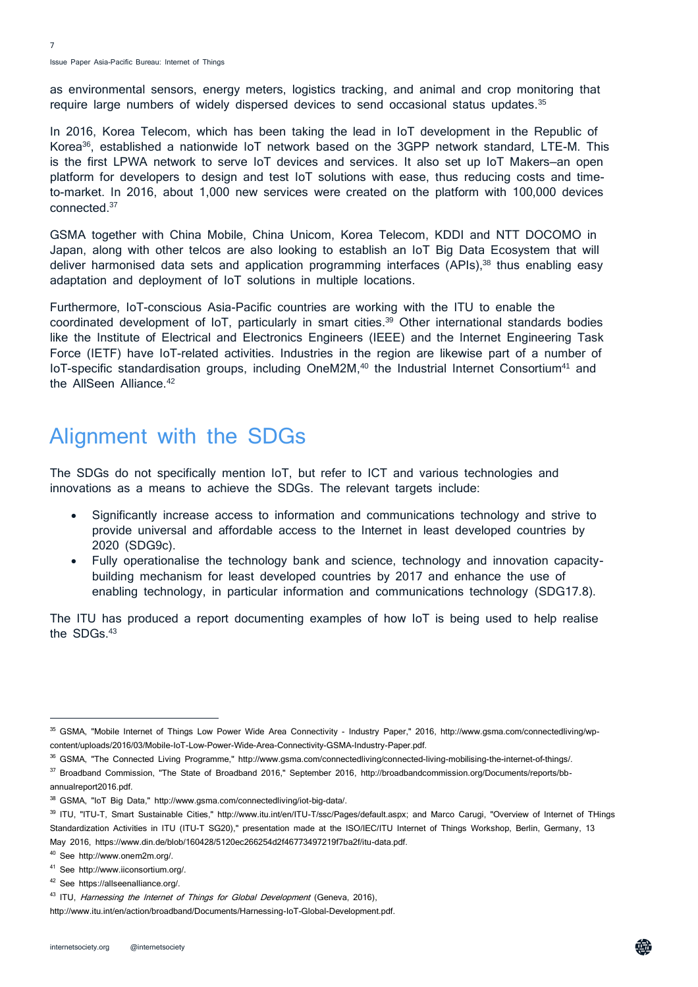as environmental sensors, energy meters, logistics tracking, and animal and crop monitoring that require large numbers of widely dispersed devices to send occasional status updates.<sup>35</sup>

In 2016, Korea Telecom, which has been taking the lead in IoT development in the Republic of Korea<sup>36</sup>, established a nationwide IoT network based on the 3GPP network standard, LTE-M. This is the first LPWA network to serve IoT devices and services. It also set up IoT Makers—an open platform for developers to design and test IoT solutions with ease, thus reducing costs and timeto-market. In 2016, about 1,000 new services were created on the platform with 100,000 devices connected.<sup>37</sup>

GSMA together with China Mobile, China Unicom, Korea Telecom, KDDI and NTT DOCOMO in Japan, along with other telcos are also looking to establish an IoT Big Data Ecosystem that will deliver harmonised data sets and application programming interfaces  $(APIs)$ <sup>38</sup> thus enabling easy adaptation and deployment of IoT solutions in multiple locations.

Furthermore, IoT-conscious Asia-Pacific countries are working with the ITU to enable the coordinated development of IoT, particularly in smart cities.<sup>39</sup> Other international standards bodies like the Institute of Electrical and Electronics Engineers (IEEE) and the Internet Engineering Task Force (IETF) have IoT-related activities. Industries in the region are likewise part of a number of IoT-specific standardisation groups, including OneM2M,<sup>40</sup> the Industrial Internet Consortium<sup>41</sup> and the AllSeen Alliance.<sup>42</sup>

### Alignment with the SDGs

The SDGs do not specifically mention IoT, but refer to ICT and various technologies and innovations as a means to achieve the SDGs. The relevant targets include:

- Significantly increase access to information and communications technology and strive to provide universal and affordable access to the Internet in least developed countries by 2020 (SDG9c).
- Fully operationalise the technology bank and science, technology and innovation capacitybuilding mechanism for least developed countries by 2017 and enhance the use of enabling technology, in particular information and communications technology (SDG17.8).

The ITU has produced a report documenting examples of how IoT is being used to help realise the SDGs.<sup>43</sup>

<sup>35</sup> GSMA, "Mobile Internet of Things Low Power Wide Area Connectivity - Industry Paper," 2016, http://www.gsma.com/connectedliving/wpcontent/uploads/2016/03/Mobile-IoT-Low-Power-Wide-Area-Connectivity-GSMA-Industry-Paper.pdf.

<sup>36</sup> GSMA, "The Connected Living Programme," http://www.gsma.com/connectedliving/connected-living-mobilising-the-internet-of-things/.

<sup>37</sup> Broadband Commission, "The State of Broadband 2016," September 2016, http://broadbandcommission.org/Documents/reports/bb-

annualreport2016.pdf.

<sup>38</sup> GSMA, "IoT Big Data," http://www.gsma.com/connectedliving/iot-big-data/.

<sup>39</sup> ITU, "ITU-T, Smart Sustainable Cities," http://www.itu.int/en/ITU-T/ssc/Pages/default.aspx; and Marco Carugi, "Overview of Internet of THings Standardization Activities in ITU (ITU-T SG20)," presentation made at the ISO/IEC/ITU Internet of Things Workshop, Berlin, Germany, 13 May 2016, https://www.din.de/blob/160428/5120ec266254d2f46773497219f7ba2f/itu-data.pdf.

<sup>40</sup> See http://www.onem2m.org/.

<sup>41</sup> See http://www.iiconsortium.org/.

<sup>42</sup> See https://allseenalliance.org/.

<sup>&</sup>lt;sup>43</sup> ITU, Harnessing the Internet of Things for Global Development (Geneva, 2016),

http://www.itu.int/en/action/broadband/Documents/Harnessing-IoT-Global-Development.pdf.